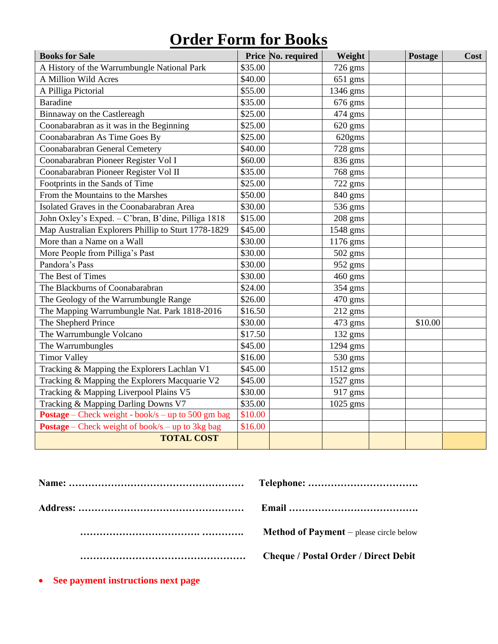## **Order Form for Books**

| <b>Books for Sale</b>                                     | Price No. required | Weight    | Postage | Cost |
|-----------------------------------------------------------|--------------------|-----------|---------|------|
| A History of the Warrumbungle National Park               | \$35.00            | 726 gms   |         |      |
| A Million Wild Acres                                      | \$40.00            | 651 gms   |         |      |
| A Pilliga Pictorial                                       | \$55.00            | 1346 gms  |         |      |
| <b>Baradine</b>                                           | \$35.00            | 676 gms   |         |      |
| Binnaway on the Castlereagh                               | \$25.00            | 474 gms   |         |      |
| Coonabarabran as it was in the Beginning                  | \$25.00            | 620 gms   |         |      |
| Coonabarabran As Time Goes By                             | \$25.00            | 620gms    |         |      |
| Coonabarabran General Cemetery                            | \$40.00            | 728 gms   |         |      |
| Coonabarabran Pioneer Register Vol I                      | \$60.00            | 836 gms   |         |      |
| Coonabarabran Pioneer Register Vol II                     | \$35.00            | 768 gms   |         |      |
| Footprints in the Sands of Time                           | \$25.00            | 722 gms   |         |      |
| From the Mountains to the Marshes                         | \$50.00            | 840 gms   |         |      |
| Isolated Graves in the Coonabarabran Area                 | \$30.00            | 536 gms   |         |      |
| John Oxley's Exped. - C'bran, B'dine, Pilliga 1818        | \$15.00            | $208$ gms |         |      |
| Map Australian Explorers Phillip to Sturt 1778-1829       | \$45.00            | 1548 gms  |         |      |
| More than a Name on a Wall                                | \$30.00            | 1176 gms  |         |      |
| More People from Pilliga's Past                           | \$30.00            | 502 gms   |         |      |
| Pandora's Pass                                            | \$30.00            | 952 gms   |         |      |
| The Best of Times                                         | \$30.00            | 460 gms   |         |      |
| The Blackburns of Coonabarabran                           | \$24.00            | 354 gms   |         |      |
| The Geology of the Warrumbungle Range                     | \$26.00            | 470 gms   |         |      |
| The Mapping Warrumbungle Nat. Park 1818-2016              | \$16.50            | $212$ gms |         |      |
| The Shepherd Prince                                       | \$30.00            | 473 gms   | \$10.00 |      |
| The Warrumbungle Volcano                                  | \$17.50            | 132 gms   |         |      |
| The Warrumbungles                                         | \$45.00            | 1294 gms  |         |      |
| <b>Timor Valley</b>                                       | \$16.00            | 530 gms   |         |      |
| Tracking & Mapping the Explorers Lachlan V1               | \$45.00            | 1512 gms  |         |      |
| Tracking & Mapping the Explorers Macquarie V2             | \$45.00            | 1527 gms  |         |      |
| Tracking & Mapping Liverpool Plains V5                    | \$30.00            | 917 gms   |         |      |
| Tracking & Mapping Darling Downs V7                       | \$35.00            | 1025 gms  |         |      |
| <b>Postage</b> – Check weight - book/s – up to 500 gm bag | \$10.00            |           |         |      |
| <b>Postage</b> – Check weight of book/s – up to 3kg bag   | \$16.00            |           |         |      |
| <b>TOTAL COST</b>                                         |                    |           |         |      |

| <b>Method of Payment</b> $-$ please circle below |
|--------------------------------------------------|
| <b>Cheque / Postal Order / Direct Debit</b>      |

• **See payment instructions next page**